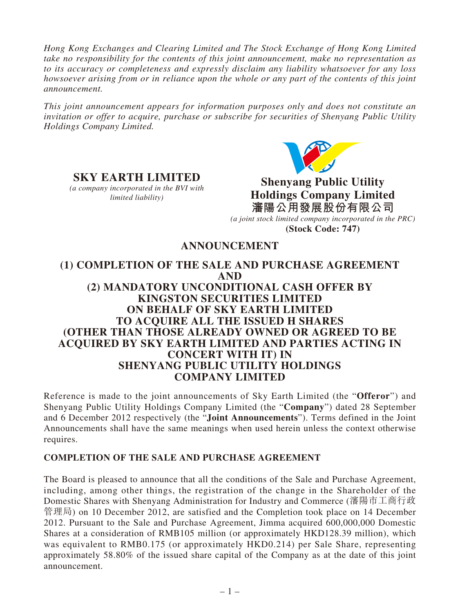*Hong Kong Exchanges and Clearing Limited and The Stock Exchange of Hong Kong Limited take no responsibility for the contents of this joint announcement, make no representation as to its accuracy or completeness and expressly disclaim any liability whatsoever for any loss howsoever arising from or in reliance upon the whole or any part of the contents of this joint announcement.*

*This joint announcement appears for information purposes only and does not constitute an invitation or offer to acquire, purchase or subscribe for securities of Shenyang Public Utility Holdings Company Limited.*



# **SKY EARTH LIMITED**

*(a company incorporated in the BVI with limited liability)*

**Shenyang Public Utility Holdings Company Limited 瀋陽公用發展股份有限公司** *(a joint stock limited company incorporated in the PRC)*  **(Stock Code: 747)**

## **ANNOUNCEMENT**

## **(1) COMPLETION OF THE SALE AND PURCHASE AGREEMENT AND (2) MANDATORY UNCONDITIONAL CASH OFFER BY KINGSTON SECURITIES LIMITED ON BEHALF OF SKY EARTH LIMITED TO ACQUIRE ALL THE ISSUED H SHARES (OTHER THAN THOSE ALREADY OWNED OR AGREED TO BE ACQUIRED BY SKY EARTH LIMITED AND PARTIES ACTING IN CONCERT WITH IT) IN SHENYANG PUBLIC UTILITY HOLDINGS COMPANY LIMITED**

Reference is made to the joint announcements of Sky Earth Limited (the "**Offeror**") and Shenyang Public Utility Holdings Company Limited (the "**Company**") dated 28 September and 6 December 2012 respectively (the "**Joint Announcements**"). Terms defined in the Joint Announcements shall have the same meanings when used herein unless the context otherwise requires.

#### **COMPLETION OF THE SALE AND PURCHASE AGREEMENT**

The Board is pleased to announce that all the conditions of the Sale and Purchase Agreement, including, among other things, the registration of the change in the Shareholder of the Domestic Shares with Shenyang Administration for Industry and Commerce (瀋陽市工商行政 管理局) on 10 December 2012, are satisfied and the Completion took place on 14 December 2012. Pursuant to the Sale and Purchase Agreement, Jimma acquired 600,000,000 Domestic Shares at a consideration of RMB105 million (or approximately HKD128.39 million), which was equivalent to RMB0.175 (or approximately HKD0.214) per Sale Share, representing approximately 58.80% of the issued share capital of the Company as at the date of this joint announcement.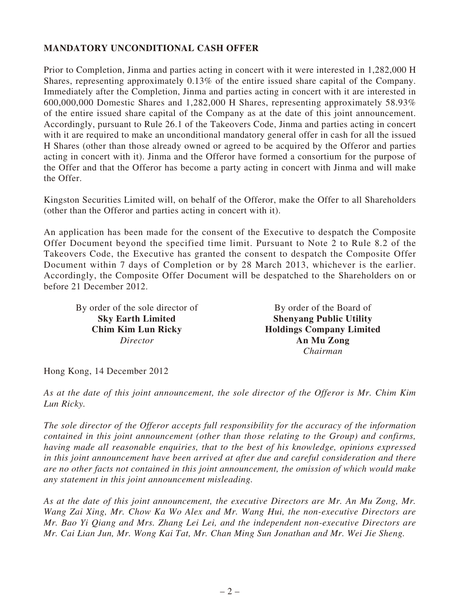#### **MANDATORY UNCONDITIONAL CASH OFFER**

Prior to Completion, Jinma and parties acting in concert with it were interested in 1,282,000 H Shares, representing approximately 0.13% of the entire issued share capital of the Company. Immediately after the Completion, Jinma and parties acting in concert with it are interested in 600,000,000 Domestic Shares and 1,282,000 H Shares, representing approximately 58.93% of the entire issued share capital of the Company as at the date of this joint announcement. Accordingly, pursuant to Rule 26.1 of the Takeovers Code, Jinma and parties acting in concert with it are required to make an unconditional mandatory general offer in cash for all the issued H Shares (other than those already owned or agreed to be acquired by the Offeror and parties acting in concert with it). Jinma and the Offeror have formed a consortium for the purpose of the Offer and that the Offeror has become a party acting in concert with Jinma and will make the Offer.

Kingston Securities Limited will, on behalf of the Offeror, make the Offer to all Shareholders (other than the Offeror and parties acting in concert with it).

An application has been made for the consent of the Executive to despatch the Composite Offer Document beyond the specified time limit. Pursuant to Note 2 to Rule 8.2 of the Takeovers Code, the Executive has granted the consent to despatch the Composite Offer Document within 7 days of Completion or by 28 March 2013, whichever is the earlier. Accordingly, the Composite Offer Document will be despatched to the Shareholders on or before 21 December 2012.

By order of the sole director of **Sky Earth Limited Chim Kim Lun Ricky** *Director*

By order of the Board of **Shenyang Public Utility Holdings Company Limited An Mu Zong** *Chairman*

Hong Kong, 14 December 2012

*As at the date of this joint announcement, the sole director of the Offeror is Mr. Chim Kim Lun Ricky.*

*The sole director of the Offeror accepts full responsibility for the accuracy of the information contained in this joint announcement (other than those relating to the Group) and confirms, having made all reasonable enquiries, that to the best of his knowledge, opinions expressed in this joint announcement have been arrived at after due and careful consideration and there are no other facts not contained in this joint announcement, the omission of which would make any statement in this joint announcement misleading.*

*As at the date of this joint announcement, the executive Directors are Mr. An Mu Zong, Mr. Wang Zai Xing, Mr. Chow Ka Wo Alex and Mr. Wang Hui, the non-executive Directors are Mr. Bao Yi Qiang and Mrs. Zhang Lei Lei, and the independent non-executive Directors are Mr. Cai Lian Jun, Mr. Wong Kai Tat, Mr. Chan Ming Sun Jonathan and Mr. Wei Jie Sheng.*